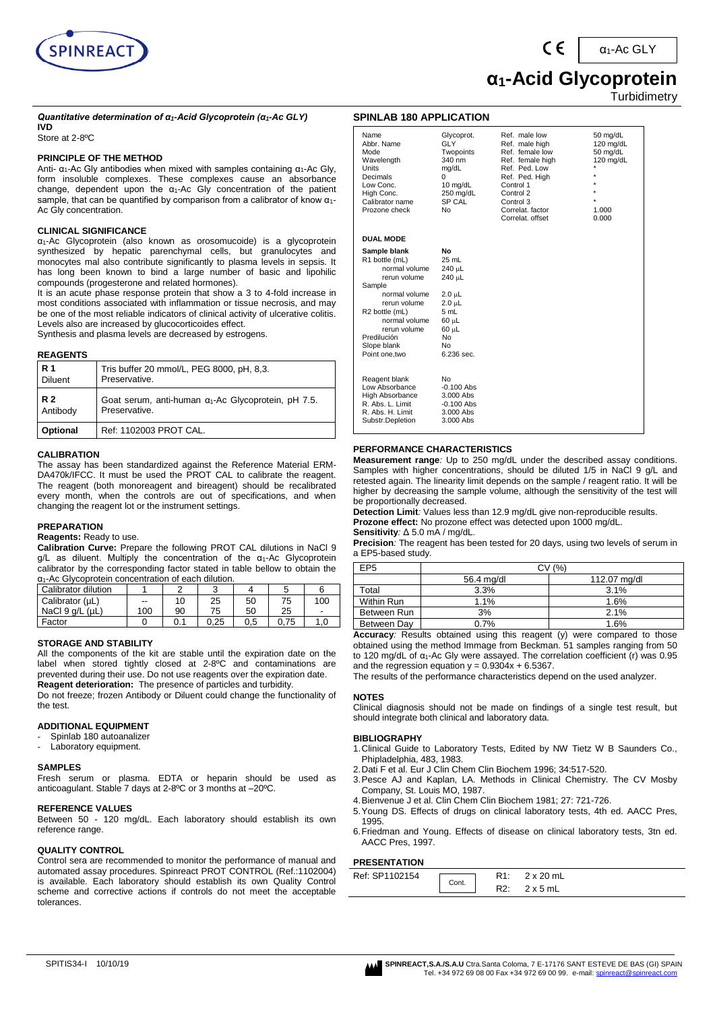

α1-Ac GLY

# **α1-Acid Glycoprotein**

**Turbidimetry** 

*Quantitative determination of α1-Acid Glycoprotein (α1-Ac GLY)* **IVD**

Store at 2-8ºC

#### **PRINCIPLE OF THE METHOD**

Anti-  $α_1$ -Ac Gly antibodies when mixed with samples containing  $α_1$ -Ac Gly, form insoluble complexes. These complexes cause an absorbance change, dependent upon the  $α<sub>1</sub> - Ac$  Gly concentration of the patient sample, that can be quantified by comparison from a calibrator of know α1- Ac Gly concentration.

#### **CLINICAL SIGNIFICANCE**

α1-Ac Glycoprotein (also known as orosomucoide) is a glycoprotein synthesized by hepatic parenchymal cells, but granulocytes and monocytes mal also contribute significantly to plasma levels in sepsis. It has long been known to bind a large number of basic and lipohilic compounds (progesterone and related hormones).

It is an acute phase response protein that show a 3 to 4-fold increase in most conditions associated with inflammation or tissue necrosis, and may be one of the most reliable indicators of clinical activity of ulcerative colitis. Levels also are increased by glucocorticoides effect.

Synthesis and plasma levels are decreased by estrogens.

#### **REAGENTS**

| <b>R</b> 1     | Tris buffer 20 mmol/L, PEG 8000, pH, 8,3.                   |
|----------------|-------------------------------------------------------------|
| <b>Diluent</b> | Preservative.                                               |
| <b>R2</b>      | Goat serum, anti-human $\alpha_1$ -Ac Glycoprotein, pH 7.5. |
| Antibody       | Preservative.                                               |
| Optional       | Ref: 1102003 PROT CAL.                                      |

#### **CALIBRATION**

The assay has been standardized against the Reference Material ERM-DA470k/IFCC. It must be used the PROT CAL to calibrate the reagent. The reagent (both monoreagent and bireagent) should be recalibrated every month, when the controls are out of specifications, and when changing the reagent lot or the instrument settings.

#### **PREPARATION**

**Reagents:** Ready to use.

**Calibration Curve:** Prepare the following PROT CAL dilutions in NaCl 9 g/L as diluent. Multiply the concentration of the α1-Ac Glycoprotein calibrator by the corresponding factor stated in table bellow to obtain the

| $\alpha_1$ -Ac Glycoprotein concentration of each dilution. |     |     |      |     |      |     |  |
|-------------------------------------------------------------|-----|-----|------|-----|------|-----|--|
| Calibrator dilution                                         |     |     |      |     |      | 6   |  |
| Calibrator (µL)                                             | --  | 10  | 25   | 50  | 75   | 100 |  |
| NaCl 9 a/L (uL)                                             | 100 | 90  | 75   | 50  | 25   | -   |  |
| Factor                                                      |     | 0.1 | 0.25 | 0.5 | 0.75 | 1.0 |  |

#### **STORAGE AND STABILITY**

All the components of the kit are stable until the expiration date on the label when stored tightly closed at 2-8°C and contaminations are prevented during their use. Do not use reagents over the expiration date. **Reagent deterioration:** The presence of particles and turbidity.

Do not freeze; frozen Antibody or Diluent could change the functionality of the test.

#### **ADDITIONAL EQUIPMENT**

- Spinlab 180 autoanalizer
- Laboratory equipment.

#### **SAMPLES**

Fresh serum or plasma. EDTA or heparin should be used as anticoagulant. Stable 7 days at 2-8ºC or 3 months at –20ºC.

#### **REFERENCE VALUES**

Between 50 - 120 mg/dL. Each laboratory should establish its own reference range.

#### **QUALITY CONTROL**

Control sera are recommended to monitor the performance of manual and automated assay procedures. Spinreact PROT CONTROL (Ref.:1102004) is available. Each laboratory should establish its own Quality Control scheme and corrective actions if controls do not meet the acceptable tolerances.

#### **SPINLAB 180 APPLICATION**

| Name<br>Abbr. Name<br>Mode<br>Wavelength<br>Units<br>Decimals<br>Low Conc.<br>High Conc.<br>Calibrator name<br>Prozone check                                                                                              | Glycoprot.<br>GLY<br>Twopoints<br>340 nm<br>mg/dL<br>0<br>10 mg/dL<br>250 mg/dL<br>SP CAL<br>No                             | Ref. male low<br>Ref. male high<br>Ref. female low<br>Ref. female high<br>Ref. Ped. Low<br>Ref. Ped. High<br>Control 1<br>Control 2<br>Control 3<br>Correlat, factor<br>Correlat, offset | 50 mg/dL<br>$120$ mg/dL<br>50 mg/dL<br>$120$ mg/dL<br>$\star$<br>$\star$<br>$\star$<br>$\star$<br>$\star$<br>1.000<br>0.000 |
|---------------------------------------------------------------------------------------------------------------------------------------------------------------------------------------------------------------------------|-----------------------------------------------------------------------------------------------------------------------------|------------------------------------------------------------------------------------------------------------------------------------------------------------------------------------------|-----------------------------------------------------------------------------------------------------------------------------|
| <b>DUAL MODE</b>                                                                                                                                                                                                          |                                                                                                                             |                                                                                                                                                                                          |                                                                                                                             |
| Sample blank<br>R1 bottle (mL)<br>normal volume<br>rerun volume<br>Sample<br>normal volume<br>rerun volume<br>R <sub>2</sub> bottle (mL)<br>normal volume<br>rerun volume<br>Predilución<br>Slope blank<br>Point one, two | No<br>$25 \text{ mL}$<br>240 µL<br>240 µL<br>$2.0 \mu L$<br>$2.0 \mu L$<br>5 mL<br>60 µL<br>60 µL<br>No<br>No<br>6.236 sec. |                                                                                                                                                                                          |                                                                                                                             |
| Reagent blank<br>Low Absorbance<br><b>High Absorbance</b><br>R. Abs. L. Limit<br>R. Abs. H. Limit<br>Substr.Depletion                                                                                                     | No<br>$-0.100$ Abs<br>3.000 Abs<br>$-0.100$ Abs<br>3.000 Abs<br>3.000 Abs                                                   |                                                                                                                                                                                          |                                                                                                                             |

#### **PERFORMANCE CHARACTERISTICS**

**Measurement range***:* Up to 250 mg/dL under the described assay conditions. Samples with higher concentrations, should be diluted 1/5 in NaCl 9 g/L and retested again. The linearity limit depends on the sample / reagent ratio. It will be higher by decreasing the sample volume, although the sensitivity of the test will be proportionally decreased.

**Detection Limit***:* Values less than 12.9 mg/dL give non-reproducible results. **Prozone effect:** No prozone effect was detected upon 1000 mg/dL. **Sensitivity***:* Δ 5.0 mA / mg/dL.

**Precision***:* The reagent has been tested for 20 days, using two levels of serum in a EP5-based study.

| EP <sub>5</sub> | CV (%)                     |                                                                                                                                                                                                                                      |  |  |
|-----------------|----------------------------|--------------------------------------------------------------------------------------------------------------------------------------------------------------------------------------------------------------------------------------|--|--|
|                 | 56.4 mg/dl<br>112.07 mg/dl |                                                                                                                                                                                                                                      |  |  |
| Total           | 3.3%                       | 3.1%                                                                                                                                                                                                                                 |  |  |
| Within Run      | 1.1%                       | 1.6%                                                                                                                                                                                                                                 |  |  |
| Between Run     | 3%                         | 2.1%                                                                                                                                                                                                                                 |  |  |
| Between Day     | 0.7%                       | 1.6%                                                                                                                                                                                                                                 |  |  |
|                 |                            | $\blacksquare$ . The contract of the contract of the contract of the contract of the contract of the contract of the contract of the contract of the contract of the contract of the contract of the contract of the contract of the |  |  |

**Accuracy***:* Results obtained using this reagent (y) were compared to those obtained using the method Immage from Beckman. 51 samples ranging from 50 to 120 mg/dL of  $α_1$ -Ac Gly were assayed. The correlation coefficient (r) was 0.95 and the regression equation  $y = 0.9304x + 6.5367$ .

The results of the performance characteristics depend on the used analyzer.

#### **NOTES**

Clinical diagnosis should not be made on findings of a single test result, but should integrate both clinical and laboratory data.

#### **BIBLIOGRAPHY**

- 1.Clinical Guide to Laboratory Tests, Edited by NW Tietz W B Saunders Co., Phipladelphia, 483, 1983.
- 2.Dati F et al. Eur J Clin Chem Clin Biochem 1996; 34:517-520.
- 3.Pesce AJ and Kaplan, LA. Methods in Clinical Chemistry. The CV Mosby Company, St. Louis MO, 1987.
- 4.Bienvenue J et al. Clin Chem Clin Biochem 1981; 27: 721-726.
- 5.Young DS. Effects of drugs on clinical laboratory tests, 4th ed. AACC Pres, 1995.
- 6.Friedman and Young. Effects of disease on clinical laboratory tests, 3tn ed. AACC Pres, 1997.

### **PRESENTATION**

| .              |       |                  |
|----------------|-------|------------------|
| Ref: SP1102154 | Cont. | $2 \times 20$ mL |
|                |       | x 5 mL           |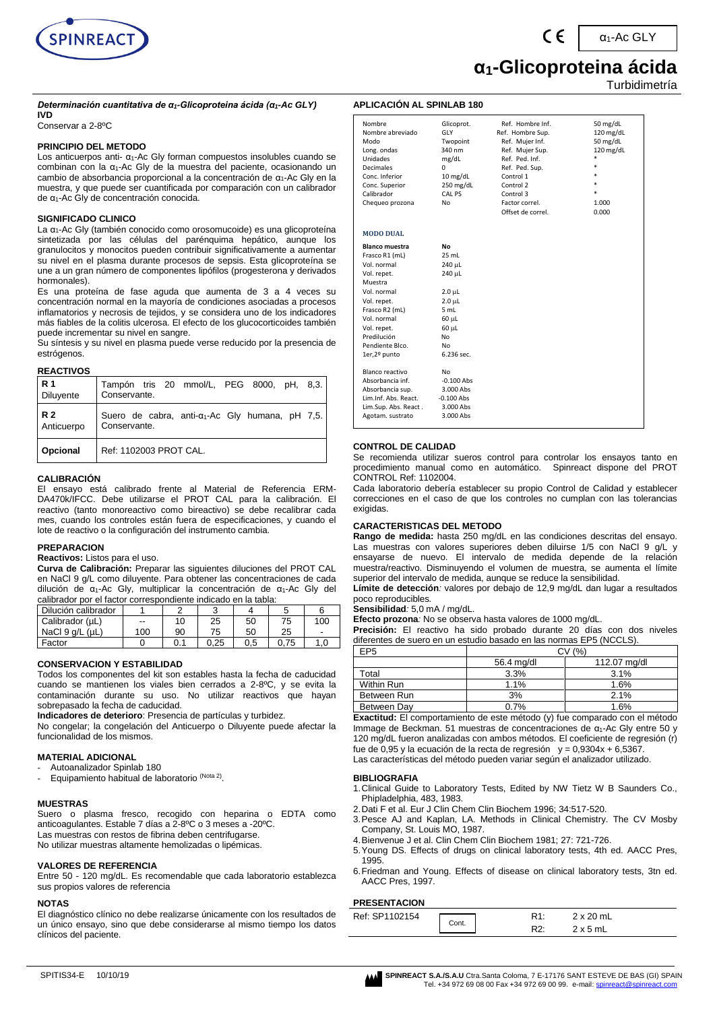

#### *Determinación cuantitativa de α1-Glicoproteina ácida (α1-Ac GLY)* **IVD**

Conservar a 2-8ºC

#### **PRINCIPIO DEL METODO**

Los anticuerpos anti- $\alpha_1$ -Ac Gly forman compuestos insolubles cuando se combinan con la α1-Ac Gly de la muestra del paciente, ocasionando un cambio de absorbancia proporcional a la concentración de  $α_1$ -Ac Gly en la muestra, y que puede ser cuantificada por comparación con un calibrador de α1-Ac Gly de concentración conocida.

#### **SIGNIFICADO CLINICO**

La α1-Ac Gly (también conocido como orosomucoide) es una glicoproteína sintetizada por las células del parénquima hepático, aunque los granulocitos y monocitos pueden contribuir significativamente a aumentar su nivel en el plasma durante procesos de sepsis. Esta glicoproteína se une a un gran número de componentes lipófilos (progesterona y derivados hormonales).

Es una proteína de fase aguda que aumenta de 3 a 4 veces su concentración normal en la mayoría de condiciones asociadas a procesos inflamatorios y necrosis de tejidos, y se considera uno de los indicadores más fiables de la colitis ulcerosa. El efecto de los glucocorticoides también puede incrementar su nivel en sangre.

Su síntesis y su nivel en plasma puede verse reducido por la presencia de estrógenos.

#### **REACTIVOS**

| <b>R</b> 1 | Tampón tris 20 mmol/L, PEG 8000, pH, 8,3.                |
|------------|----------------------------------------------------------|
| Diluyente  | Conservante.                                             |
| R 2        | Suero de cabra, anti- $\alpha_1$ -Ac Gly humana, pH 7,5. |
| Anticuerpo | Conservante.                                             |
| Opcional   | Ref: 1102003 PROT CAL.                                   |

#### **CALIBRACIÓN**

El ensayo está calibrado frente al Material de Referencia ERM-DA470k/IFCC. Debe utilizarse el PROT CAL para la calibración. El reactivo (tanto monoreactivo como bireactivo) se debe recalibrar cada mes, cuando los controles están fuera de especificaciones, y cuando el lote de reactivo o la configuración del instrumento cambia.

#### **PREPARACION**

**Reactivos:** Listos para el uso.

**Curva de Calibración:** Preparar las siguientes diluciones del PROT CAL en NaCl 9 g/L como diluyente. Para obtener las concentraciones de cada dilución de α1-Ac Gly, multiplicar la concentración de α1-Ac Gly del calibrador por el factor correspondiente indicado en la tabla:

| Dilución calibrador     |       |     |      |     |      | 6   |
|-------------------------|-------|-----|------|-----|------|-----|
| Calibrador (µL)         | $- -$ | 10  | 25   | 50  | 75   | 100 |
| NaCl $9$ q/L ( $\mu$ L) | 100   | 90  | 75   | 50  | 25   |     |
| Factor                  |       | 0.1 | 0.25 | 0.5 | 0.75 |     |

#### **CONSERVACION Y ESTABILIDAD**

Todos los componentes del kit son estables hasta la fecha de caducidad cuando se mantienen los viales bien cerrados a 2-8ºC, y se evita la contaminación durante su uso. No utilizar reactivos que hayan sobrepasado la fecha de caducidad.

**Indicadores de deterioro**: Presencia de partículas y turbidez.

No congelar; la congelación del Anticuerpo o Diluyente puede afectar la funcionalidad de los mismos.

#### **MATERIAL ADICIONAL**

- Autoanalizador Spinlab 180
- Equipamiento habitual de laboratorio (Nota 2).

#### **MUESTRAS**

Suero o plasma fresco, recogido con heparina o EDTA como anticoagulantes. Estable 7 días a 2-8ºC o 3 meses a -20ºC. Las muestras con restos de fibrina deben centrifugarse. No utilizar muestras altamente hemolizadas o lipémicas.

#### **VALORES DE REFERENCIA**

Entre 50 - 120 mg/dL. Es recomendable que cada laboratorio establezca sus propios valores de referencia

#### **NOTAS**

El diagnóstico clínico no debe realizarse únicamente con los resultados de un único ensayo, sino que debe considerarse al mismo tiempo los datos clínicos del paciente.

### **α1-Glicoproteina ácida**

Turbidimetría

α1-Ac GLY

#### **APLICACIÓN AL SPINLAB 180**

| Nombre<br>Nombre abreviado<br>Modo<br>Long. ondas<br><b>Unidades</b><br><b>Decimales</b><br>Conc. Inferior<br>Conc. Superior<br>Calibrador<br>Chequeo prozona                                                    | Glicoprot.<br>GLY<br>Twopoint<br>340 nm<br>mg/dL<br>$\Omega$<br>10 mg/dL<br>250 mg/dL<br>CAL PS<br>No                                  | Ref. Hombre Inf.<br>Ref. Hombre Sup.<br>Ref. Mujer Inf.<br>Ref. Mujer Sup.<br>Ref. Ped. Inf.<br>Ref. Ped. Sup.<br>Control 1<br>Control 2<br>Control 3<br>Factor correl.<br>Offset de correl. | 50 mg/dL<br>120 mg/dL<br>50 mg/dL<br>120 mg/dL<br>*<br>$\ast$<br>$\ast$<br>$\ast$<br>$\ast$<br>1.000<br>0.000 |
|------------------------------------------------------------------------------------------------------------------------------------------------------------------------------------------------------------------|----------------------------------------------------------------------------------------------------------------------------------------|----------------------------------------------------------------------------------------------------------------------------------------------------------------------------------------------|---------------------------------------------------------------------------------------------------------------|
| <b>MODO DUAL</b>                                                                                                                                                                                                 |                                                                                                                                        |                                                                                                                                                                                              |                                                                                                               |
| <b>Blanco muestra</b><br>Frasco R1 (mL)<br>Vol. normal<br>Vol. repet.<br>Muestra<br>Vol. normal<br>Vol. repet.<br>Frasco R2 (mL)<br>Vol. normal<br>Vol. repet.<br>Predilución<br>Pendiente Blco.<br>1er,2º punto | No<br>25 mL<br>240 µL<br>240 µL<br>$2.0 \mu L$<br>$2.0$ $\mu$ L<br>5 mL<br>60 µL<br>60 µL<br>N <sub>0</sub><br><b>No</b><br>6.236 sec. |                                                                                                                                                                                              |                                                                                                               |
| Blanco reactivo<br>Absorbancia inf.<br>Absorbancia sup.<br>Lim.Inf. Abs. React.<br>Lim.Sup. Abs. React.<br>Agotam. sustrato                                                                                      | Nο<br>$-0.100$ Abs<br>3.000 Abs<br>$-0.100$ Abs<br>3.000 Abs<br>3.000 Abs                                                              |                                                                                                                                                                                              |                                                                                                               |

#### **CONTROL DE CALIDAD**

Se recomienda utilizar sueros control para controlar los ensayos tanto en procedimiento manual como en automático. Spinreact dispone del PROT CONTROL Ref: 1102004.

Cada laboratorio debería establecer su propio Control de Calidad y establecer correcciones en el caso de que los controles no cumplan con las tolerancias exigidas.

#### **CARACTERISTICAS DEL METODO**

**Rango de medida:** hasta 250 mg/dL en las condiciones descritas del ensayo. Las muestras con valores superiores deben diluirse 1/5 con NaCl 9 g/L y ensayarse de nuevo. El intervalo de medida depende de la relación muestra/reactivo. Disminuyendo el volumen de muestra, se aumenta el límite superior del intervalo de medida, aunque se reduce la sensibilidad.

**Límite de detección***:* valores por debajo de 12,9 mg/dL dan lugar a resultados poco reproducibles*.*

#### **Sensibilidad***:* 5,0 mA / mg/dL.

**Efecto prozona***:* No se observa hasta valores de 1000 mg/dL.

**Precisión:** El reactivo ha sido probado durante 20 días con dos niveles diferentes de suero en un estudio basado en las normas EP5 (NCCLS).

| EP5         |            | C٧<br>(%     |  |  |
|-------------|------------|--------------|--|--|
|             | 56.4 mg/dl | 112.07 mg/dl |  |  |
| Total       | 3.3%       | $3.1\%$      |  |  |
| Within Run  | 1.1%       | 1.6%         |  |  |
| Between Run | 3%         | 2.1%         |  |  |
| Between Dav | 0.7%       | 1.6%         |  |  |

**Exactitud:** El comportamiento de este método (y) fue comparado con el método Immage de Beckman. 51 muestras de concentraciones de α1-Ac Gly entre 50 y 120 mg/dL fueron analizadas con ambos métodos. El coeficiente de regresión (r) fue de 0,95 y la ecuación de la recta de regresión  $y = 0.9304x + 6.5367$ . Las características del método pueden variar según el analizador utilizado.

#### **BIBLIOGRAFIA**

- 1.Clinical Guide to Laboratory Tests, Edited by NW Tietz W B Saunders Co., Phipladelphia, 483, 1983.
- 2.Dati F et al. Eur J Clin Chem Clin Biochem 1996; 34:517-520.
- 3.Pesce AJ and Kaplan, LA. Methods in Clinical Chemistry. The CV Mosby Company, St. Louis MO, 1987.
- 4.Bienvenue J et al. Clin Chem Clin Biochem 1981; 27: 721-726. 5.Young DS. Effects of drugs on clinical laboratory tests, 4th ed. AACC Pres, 1995.
- 6.Friedman and Young. Effects of disease on clinical laboratory tests, 3tn ed. AACC Pres, 1997.

#### **PRESENTACION**

| ,,,,,,,,,,,,,,,         |     |                  |                 |  |
|-------------------------|-----|------------------|-----------------|--|
| Ref: SP1102154<br>Cont. | - ר | $2 \times 20$ mL |                 |  |
|                         |     | ∼                | $2 \times 5$ mL |  |

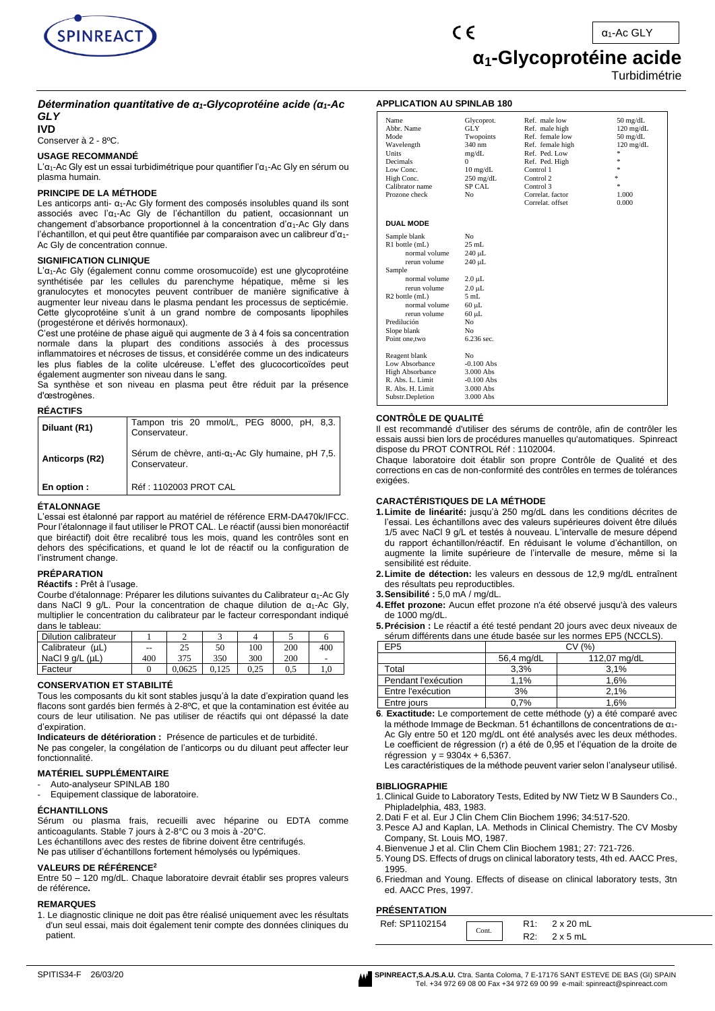

α1-Ac GLY

### **α1-Glycoprotéine acide**

Turbidimétrie

#### *Détermination quantitative de α1-Glycoprotéine acide (α1-Ac GLY*

**IVD**

Conserver à 2 - 8ºC.

#### **USAGE RECOMMANDÉ**

L'α1-Ac Gly est un essai turbidimétrique pour quantifier l'α1-Ac Gly en sérum ou plasma humain.

#### **PRINCIPE DE LA MÉTHODE**

Les anticorps anti- α1-Ac Gly forment des composés insolubles quand ils sont associés avec l'α1-Ac Gly de l'échantillon du patient, occasionnant un changement d'absorbance proportionnel à la concentration d'α1-Ac Gly dans l'échantillon, et qui peut être quantifiée par comparaison avec un calibreur d'α1- Ac Gly de concentration connue.

#### **SIGNIFICATION CLINIQUE**

L'α1-Ac Gly (également connu comme orosomucoïde) est une glycoprotéine synthétisée par les cellules du parenchyme hépatique, même si les granulocytes et monocytes peuvent contribuer de manière significative à augmenter leur niveau dans le plasma pendant les processus de septicémie. Cette glycoprotéine s'unit à un grand nombre de composants lipophiles (progestérone et dérivés hormonaux).

C'est une protéine de phase aiguë qui augmente de 3 à 4 fois sa concentration normale dans la plupart des conditions associés à des processus inflammatoires et nécroses de tissus, et considérée comme un des indicateurs les plus fiables de la colite ulcéreuse. L'effet des glucocorticoïdes peut également augmenter son niveau dans le sang.

Sa synthèse et son niveau en plasma peut être réduit par la présence d'œstrogènes.

#### **RÉACTIFS**

| Diluant (R1)   | Tampon tris 20 mmol/L, PEG 8000, pH, 8,3.<br>Conservateur.                     |
|----------------|--------------------------------------------------------------------------------|
| Anticorps (R2) | Sérum de chèvre, anti-a <sub>1</sub> -Ac Gly humaine, pH 7,5.<br>Conservateur. |
| En option:     | Réf : 1102003 PROT CAL                                                         |

#### **ÉTALONNAGE**

L'essai est étalonné par rapport au matériel de référence ERM-DA470k/IFCC. Pour l'étalonnage il faut utiliser le PROT CAL. Le réactif (aussi bien monoréactif que biréactif) doit être recalibré tous les mois, quand les contrôles sont en dehors des spécifications, et quand le lot de réactif ou la configuration de l'instrument change.

#### **PRÉPARATION**

#### **Réactifs :** Prêt à l'usage.

Courbe d'étalonnage: Préparer les dilutions suivantes du Calibrateur α1-Ac Gly dans NaCl 9 g/L. Pour la concentration de chaque dilution de  $\alpha_1$ -Ac Gly, multiplier le concentration du calibrateur par le facteur correspondant indiqué dans le tableau:

| Dilution calibrateur |     |        |     |      |     |     |
|----------------------|-----|--------|-----|------|-----|-----|
| Calibrateur (µL)     | --  | 25     | 50  | 100  | 200 | 400 |
| NaCl 9 g/L (µL)      | 400 | 375    | 350 | 300  | 200 |     |
| Facteur              |     | 0.0625 |     | 0.25 | U.S | 1.0 |

#### **CONSERVATION ET STABILITÉ**

Tous les composants du kit sont stables jusqu'à la date d'expiration quand les flacons sont gardés bien fermés à 2-8ºC, et que la contamination est évitée au cours de leur utilisation. Ne pas utiliser de réactifs qui ont dépassé la date d'expiration.

**Indicateurs de détérioration :** Présence de particules et de turbidité. Ne pas congeler, la congélation de l'anticorps ou du diluant peut affecter leur fonctionnalité.

#### **MATÉRIEL SUPPLÉMENTAIRE**

- Auto-analyseur SPINLAB 180
- Equipement classique de laboratoire.

#### **ÉCHANTILLONS**

Sérum ou plasma frais, recueilli avec héparine ou EDTA comme anticoagulants. Stable 7 jours à 2-8°C ou 3 mois à -20°C.

Les échantillons avec des restes de fibrine doivent être centrifugés.

Ne pas utiliser d'échantillons fortement hémolysés ou lypémiques.

#### **VALEURS DE RÉFÉRENCE<sup>2</sup>**

Entre 50 – 120 mg/dL. Chaque laboratoire devrait établir ses propres valeurs de référence**.**

#### **REMARQUES**

1. Le diagnostic clinique ne doit pas être réalisé uniquement avec les résultats d'un seul essai, mais doit également tenir compte des données cliniques du patient.

#### **APPLICATION AU SPINLAB 180**

 $\epsilon$ 

| Name<br>Abbr. Name<br>Mode<br>Wavelength<br>Units<br><b>Decimals</b><br>Low Conc.<br>High Conc.<br>Calibrator name<br>Prozone check | Glycoprot.<br>GLY.<br>Twopoints<br>340 nm<br>mg/dL<br>$\Omega$<br>$10 \text{ mg/dL}$<br>$250 \text{ mg/dL}$<br>SP CAL<br>No | Ref. male low<br>Ref. male high<br>Ref. female low<br>Ref. female high<br>Ref. Ped. Low<br>Ref. Ped. High<br>Control 1<br>Control 2<br>Control 3<br>Correlat. factor<br>Correlat. offset | $50 \text{ mg/dL}$<br>$120 \text{ mg/dL}$<br>$50 \frac{\text{mg}}{\text{dL}}$<br>$120 \text{ mg/dL}$<br>*<br>客<br>客<br>×.<br>$\approx$<br>1.000<br>0.000 |
|-------------------------------------------------------------------------------------------------------------------------------------|-----------------------------------------------------------------------------------------------------------------------------|------------------------------------------------------------------------------------------------------------------------------------------------------------------------------------------|----------------------------------------------------------------------------------------------------------------------------------------------------------|
| <b>DUAL MODE</b>                                                                                                                    |                                                                                                                             |                                                                                                                                                                                          |                                                                                                                                                          |
| Sample blank                                                                                                                        | No                                                                                                                          |                                                                                                                                                                                          |                                                                                                                                                          |
| R1 bottle (mL)                                                                                                                      | $25$ mL                                                                                                                     |                                                                                                                                                                                          |                                                                                                                                                          |
| normal volume                                                                                                                       | 240 µL                                                                                                                      |                                                                                                                                                                                          |                                                                                                                                                          |
| rerun volume                                                                                                                        | 240 µL                                                                                                                      |                                                                                                                                                                                          |                                                                                                                                                          |
| Sample                                                                                                                              |                                                                                                                             |                                                                                                                                                                                          |                                                                                                                                                          |
| normal volume                                                                                                                       | $2.0 \mu L$                                                                                                                 |                                                                                                                                                                                          |                                                                                                                                                          |
| rerun volume                                                                                                                        | $2.0 \mu L$                                                                                                                 |                                                                                                                                                                                          |                                                                                                                                                          |
| $R2$ bottle $(mL)$                                                                                                                  | 5mL                                                                                                                         |                                                                                                                                                                                          |                                                                                                                                                          |
| normal volume                                                                                                                       | $60 \mu L$                                                                                                                  |                                                                                                                                                                                          |                                                                                                                                                          |
| rerun volume                                                                                                                        | $60 \mu L$                                                                                                                  |                                                                                                                                                                                          |                                                                                                                                                          |
| Predilución                                                                                                                         | No                                                                                                                          |                                                                                                                                                                                          |                                                                                                                                                          |
| Slope blank                                                                                                                         | No<br>6.236 sec.                                                                                                            |                                                                                                                                                                                          |                                                                                                                                                          |
| Point one, two                                                                                                                      |                                                                                                                             |                                                                                                                                                                                          |                                                                                                                                                          |
| Reagent blank                                                                                                                       | N <sub>0</sub>                                                                                                              |                                                                                                                                                                                          |                                                                                                                                                          |
| Low Absorbance                                                                                                                      | $-0.100$ Abs                                                                                                                |                                                                                                                                                                                          |                                                                                                                                                          |
| <b>High Absorbance</b>                                                                                                              | 3.000 Abs                                                                                                                   |                                                                                                                                                                                          |                                                                                                                                                          |
| R. Abs. L. Limit                                                                                                                    | $-0.100$ Abs                                                                                                                |                                                                                                                                                                                          |                                                                                                                                                          |
| R. Abs. H. Limit                                                                                                                    | 3.000 Abs                                                                                                                   |                                                                                                                                                                                          |                                                                                                                                                          |
| Substr.Depletion                                                                                                                    | 3.000 Abs                                                                                                                   |                                                                                                                                                                                          |                                                                                                                                                          |

#### **CONTRÔLE DE QUALITÉ**

Il est recommandé d'utiliser des sérums de contrôle, afin de contrôler les essais aussi bien lors de procédures manuelles qu'automatiques. Spinreact dispose du PROT CONTROL Réf : 1102004.

Chaque laboratoire doit établir son propre Contrôle de Qualité et des corrections en cas de non-conformité des contrôles en termes de tolérances exigées.

#### **CARACTÉRISTIQUES DE LA MÉTHODE**

- **1.Limite de linéarité:** jusqu'à 250 mg/dL dans les conditions décrites de l'essai. Les échantillons avec des valeurs supérieures doivent être dilués 1/5 avec NaCl 9 g/L et testés à nouveau. L'intervalle de mesure dépend du rapport échantillon/réactif. En réduisant le volume d'échantillon, on augmente la limite supérieure de l'intervalle de mesure, même si la sensibilité est réduite.
- **2.Limite de détection:** les valeurs en dessous de 12,9 mg/dL entraînent des résultats peu reproductibles.
- **3.Sensibilité :** 5,0 mA / mg/dL.
- **4.Effet prozone:** Aucun effet prozone n'a été observé jusqu'à des valeurs de 1000 mg/dL.
- **5.Précision :** Le réactif a été testé pendant 20 jours avec deux niveaux de sérum différents dans une étude basée sur les normes EP5 (NCCLS).

| EP5                 | CV (%)     |              |  |  |
|---------------------|------------|--------------|--|--|
|                     | 56,4 mg/dL | 112,07 mg/dL |  |  |
| Total               | 3.3%       | 3.1%         |  |  |
| Pendant l'exécution | 1.1%       | 1.6%         |  |  |
| Entre l'exécution   | 3%         | 2.1%         |  |  |
| Entre jours         | $0.7\%$    | 1.6%         |  |  |

**6***.* **Exactitude:** Le comportement de cette méthode (y) a été comparé avec la méthode Immage de Beckman. 51 échantillons de concentrations de α1- Ac Gly entre 50 et 120 mg/dL ont été analysés avec les deux méthodes. Le coefficient de régression (r) a été de 0,95 et l'équation de la droite de régression  $y = 9304x + 6,5367$ .

Les caractéristiques de la méthode peuvent varier selon l'analyseur utilisé.

#### **BIBLIOGRAPHIE**

- 1.Clinical Guide to Laboratory Tests, Edited by NW Tietz W B Saunders Co., Phipladelphia, 483, 1983.
- 2.Dati F et al. Eur J Clin Chem Clin Biochem 1996; 34:517-520.
- 3.Pesce AJ and Kaplan, LA. Methods in Clinical Chemistry. The CV Mosby Company, St. Louis MO, 1987.
- 4.Bienvenue J et al. Clin Chem Clin Biochem 1981; 27: 721-726.
- 5.Young DS. Effects of drugs on clinical laboratory tests, 4th ed. AACC Pres, 1995.
- 6.Friedman and Young. Effects of disease on clinical laboratory tests, 3tn ed. AACC Pres, 1997.

#### **PRÉSENTATION**

| .              |       |     |                  |
|----------------|-------|-----|------------------|
| Ref: SP1102154 |       |     | $2 \times 20$ mL |
|                | Cont. | RZ. | x 5 mL           |